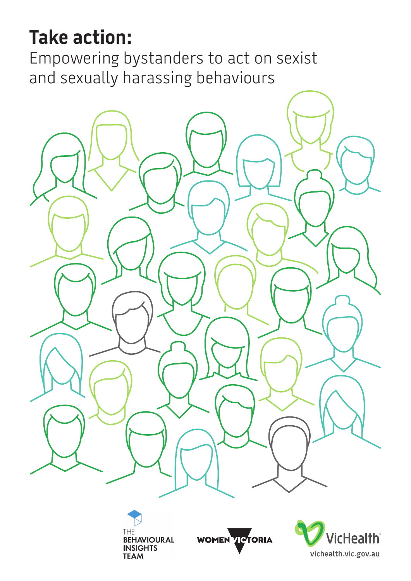# **Take action:**

Empowering bystanders to act on sexist and sexually harassing behaviours





WOMEN VICTORIA

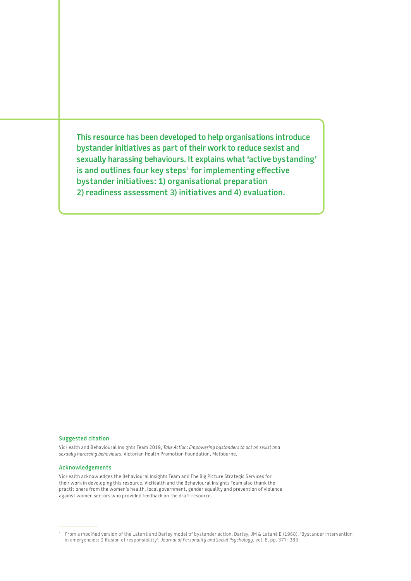**This resource has been developed to help organisations introduce bystander initiatives as part of their work to reduce sexist and sexually harassing behaviours. It explains what 'active bystanding' is and outlines four key steps**<sup>1</sup>  **for implementing effective bystander initiatives: 1) organisational preparation 2) readiness assessment 3) initiatives and 4) evaluation.**

#### **Suggested citation**

VicHealth and Behavioural Insights Team 2019, *Take Action: Empowering bystanders to act on sexist and sexually harassing behaviours*, Victorian Health Promotion Foundation, Melbourne.

#### **Acknowledgements**

VicHealth acknowledges the Behavioural Insights Team and The Big Picture Strategic Services for their work in developing this resource. VicHealth and the Behavioural Insights Team also thank the practitioners from the women's health, local government, gender equality and prevention of violence against women sectors who provided feedback on the draft resource.

<sup>1</sup> From a modified version of the Latané and Darley model of bystander action. Darley, JM & Latané B (1968), 'Bystander intervention in emergencies: Diffusion of responsibility', *Journal of Personality and Social Psychology*, vol. 8, pp. 377–383.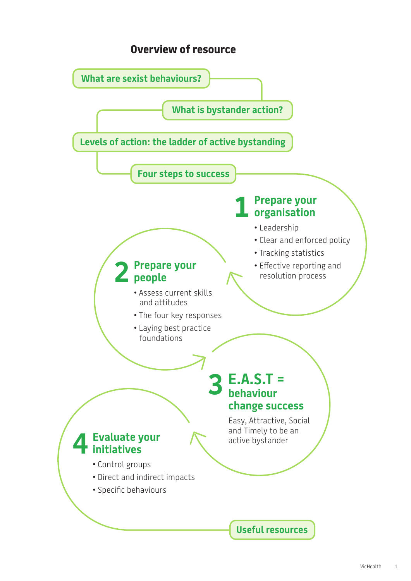## **Overview of resource**

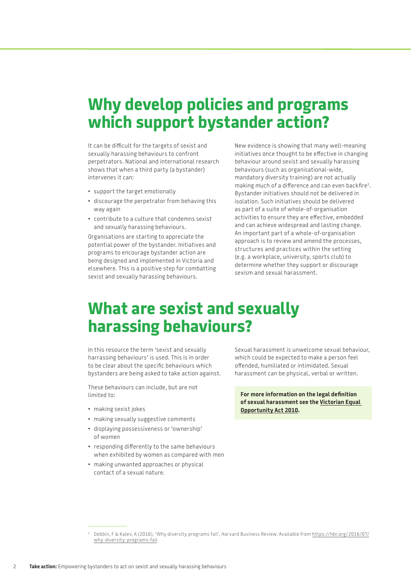## **Why develop policies and programs which support bystander action?**

It can be difficult for the targets of sexist and sexually harassing behaviours to confront perpetrators. National and international research shows that when a third party (a bystander) intervenes it can:

- support the target emotionally
- discourage the perpetrator from behaving this way again
- contribute to a culture that condemns sexist and sexually harassing behaviours.

Organisations are starting to appreciate the potential power of the bystander. Initiatives and programs to encourage bystander action are being designed and implemented in Victoria and elsewhere. This is a positive step for combatting sexist and sexually harassing behaviours.

New evidence is showing that many well-meaning initiatives once thought to be effective in changing behaviour around sexist and sexually harassing behaviours (such as organisational-wide, mandatory diversity training) are not actually making much of a difference and can even backfire<sup>2</sup>. Bystander initiatives should not be delivered in isolation. Such initiatives should be delivered as part of a suite of whole-of-organisation activities to ensure they are effective, embedded and can achieve widespread and lasting change. An important part of a whole-of-organisation approach is to review and amend the processes, structures and practices within the setting (e.g. a workplace, university, sports club) to determine whether they support or discourage sexism and sexual harassment.

## **What are sexist and sexually harassing behaviours?**

In this resource the term 'sexist and sexually harrassing behaviours' is used. This is in order to be clear about the specific behaviours which bystanders are being asked to take action against.

These behaviours can include, but are not limited to:

- making sexist jokes
- making sexually suggestive comments
- displaying possessiveness or 'ownership' of women
- responding differently to the same behaviours when exhibited by women as compared with men
- making unwanted approaches or physical contact of a sexual nature.

Sexual harassment is unwelcome sexual behaviour, which could be expected to make a person feel offended, humiliated or intimidated. Sexual harassment can be physical, verbal or written.

**For more information on the legal definition of sexual harassment see the [Victorian Equal](https://www.humanrightscommission.vic.gov.au/the-law/equal-opportunity-act)  [Opportunity Act 2010](https://www.humanrightscommission.vic.gov.au/the-law/equal-opportunity-act).**

<sup>2</sup> Dobbin, F & Kalev, A (2016), 'Why diversity programs fail', Harvard Business Review. Available from [https://hbr.org/2016/07/](https://hbr.org/2016/07/why-diversity-programs-fail) [why-diversity-programs-fail](https://hbr.org/2016/07/why-diversity-programs-fail)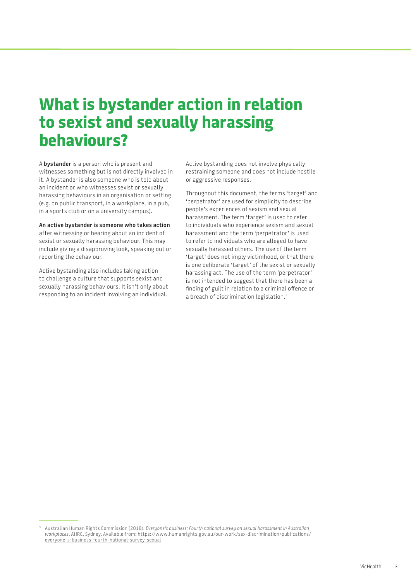## **What is bystander action in relation to sexist and sexually harassing behaviours?**

A **bystander** is a person who is present and witnesses something but is not directly involved in it. A bystander is also someone who is told about an incident or who witnesses sexist or sexually harassing behaviours in an organisation or setting (e.g. on public transport, in a workplace, in a pub, in a sports club or on a university campus).

**An active bystander is someone who takes action** after witnessing or hearing about an incident of sexist or sexually harassing behaviour. This may include giving a disapproving look, speaking out or reporting the behaviour.

Active bystanding also includes taking action to challenge a culture that supports sexist and sexually harassing behaviours. It isn't only about responding to an incident involving an individual.

Active bystanding does not involve physically restraining someone and does not include hostile or aggressive responses.

Throughout this document, the terms 'target' and 'perpetrator' are used for simplicity to describe people's experiences of sexism and sexual harassment. The term 'target' is used to refer to individuals who experience sexism and sexual harassment and the term 'perpetrator' is used to refer to individuals who are alleged to have sexually harassed others. The use of the term 'target' does not imply victimhood, or that there is one deliberate 'target' of the sexist or sexually harassing act. The use of the term 'perpetrator' is not intended to suggest that there has been a finding of guilt in relation to a criminal offence or a breach of discrimination legislation.3

<sup>3</sup> Australian Human Rights Commission (2018). *Everyone's business: Fourth national survey on sexual harassment in Australian workplaces*. AHRC, Sydney. Available from: [https://www.humanrights.gov.au/our-work/sex-discrimination/publications/](http://www.humanrights.gov.au/our-work/sex-discrimination/publications/everyone-s-business-fourth-national-survey-sexual) [everyone-s-business-fourth-national-survey-sexual](http://www.humanrights.gov.au/our-work/sex-discrimination/publications/everyone-s-business-fourth-national-survey-sexual)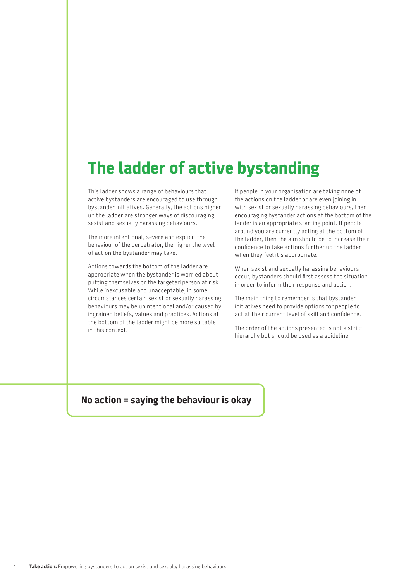## **The ladder of active bystanding**

This ladder shows a range of behaviours that active bystanders are encouraged to use through bystander initiatives. Generally, the actions higher up the ladder are stronger ways of discouraging sexist and sexually harassing behaviours.

The more intentional, severe and explicit the behaviour of the perpetrator, the higher the level of action the bystander may take.

Actions towards the bottom of the ladder are appropriate when the bystander is worried about putting themselves or the targeted person at risk. While inexcusable and unacceptable, in some circumstances certain sexist or sexually harassing behaviours may be unintentional and/or caused by ingrained beliefs, values and practices. Actions at the bottom of the ladder might be more suitable in this context.

If people in your organisation are taking none of the actions on the ladder or are even joining in with sexist or sexually harassing behaviours, then encouraging bystander actions at the bottom of the ladder is an appropriate starting point. If people around you are currently acting at the bottom of the ladder, then the aim should be to increase their confidence to take actions further up the ladder when they feel it's appropriate.

When sexist and sexually harassing behaviours occur, bystanders should first assess the situation in order to inform their response and action.

The main thing to remember is that bystander initiatives need to provide options for people to act at their current level of skill and confidence.

The order of the actions presented is not a strict hierarchy but should be used as a guideline.

## **No action = saying the behaviour is okay**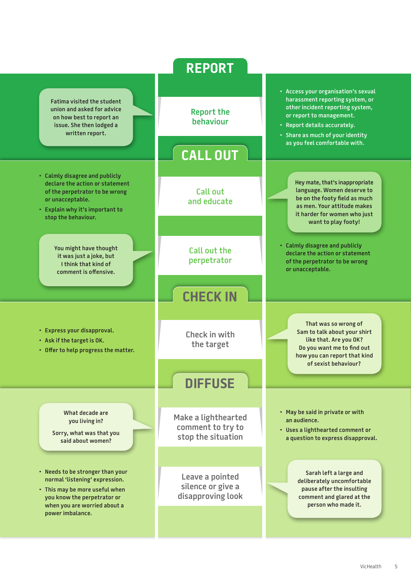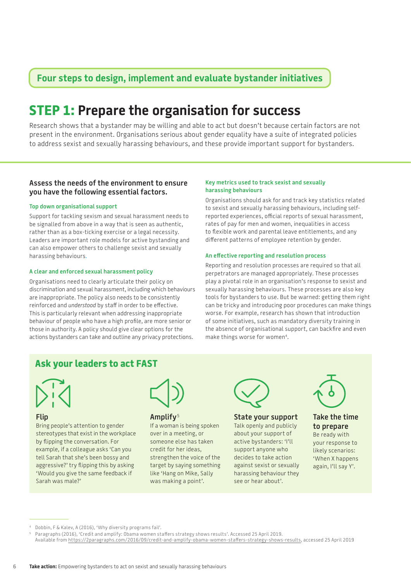## **Four steps to design, implement and evaluate bystander initiatives**

## **STEP 1: Prepare the organisation for success**

Research shows that a bystander may be willing and able to act but doesn't because certain factors are not present in the environment. Organisations serious about gender equality have a suite of integrated policies to address sexist and sexually harassing behaviours, and these provide important support for bystanders.

## **Assess the needs of the environment to ensure you have the following essential factors.**

### **Top down organisational support**

Support for tackling sexism and sexual harassment needs to be signalled from above in a way that is seen as authentic, rather than as a box-ticking exercise or a legal necessity. Leaders are important role models for active bystanding and can also empower others to challenge sexist and sexually harassing behaviours.

### **A clear and enforced sexual harassment policy**

Organisations need to clearly articulate their policy on discrimination and sexual harassment, including which behaviours are inappropriate. The policy also needs to be consistently reinforced and *understood* by staff in order to be effective. This is particularly relevant when addressing inappropriate behaviour of people who have a high profile, are more senior or those in authority. A policy should give clear options for the actions bystanders can take and outline any privacy protections.

## **Key metrics used to track sexist and sexually harassing behaviours**

Organisations should ask for and track key statistics related to sexist and sexually harassing behaviours, including selfreported experiences, official reports of sexual harassment, rates of pay for men and women, inequalities in access to flexible work and parental leave entitlements, and any different patterns of employee retention by gender.

### **An effective reporting and resolution process**

Reporting and resolution processes are required so that all perpetrators are managed appropriately. These processes play a pivotal role in an organisation's response to sexist and sexually harassing behaviours. These processes are also key tools for bystanders to use. But be warned: getting them right can be tricky and introducing poor procedures can make things worse. For example, research has shown that introduction of some initiatives, such as mandatory diversity training in the absence of organisational support, can backfire and even make things worse for women<sup>4</sup>.

## **Ask your leaders to act FAST**



## **Flip**

Bring people's attention to gender stereotypes that exist in the workplace by flipping the conversation. For example, if a colleague asks 'Can you tell Sarah that she's been bossy and aggressive?' try flipping this by asking 'Would you give the same feedback if Sarah was male?'



## **Amplify**<sup>5</sup>

If a woman is being spoken over in a meeting, or someone else has taken credit for her ideas, strengthen the voice of the target by saying something like 'Hang on Mike, Sally was making a point'.



## **State your support**

Talk openly and publicly about your support of active bystanders: 'I'll support anyone who decides to take action against sexist or sexually harassing behaviour they see or hear about'.



## **Take the time to prepare** Be ready with

your response to likely scenarios: 'When X happens again, I'll say Y'.

Dobbin, F & Kalev, A (2016), 'Why diversity programs fail'.

<sup>5</sup> Paragraphs (2016), 'Credit and amplify: Obama women staffers strategy shows results'. Accessed 25 April 2019.

Available from [https://2paragraphs.com/2016/09/credit-and-amplify-obama-women-staffers-strategy-shows-results,](http://-amplify-obama-women-staffers-strategy-shows-results/) accessed 25 April 2019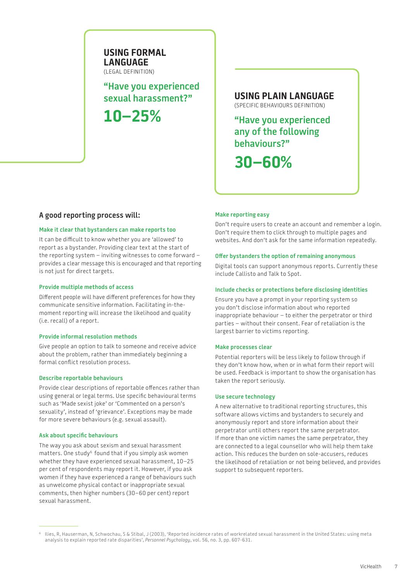## **USING FORMAL LANGUAGE** (LEGAL DEFINITION)

**"Have you experienced** 

**10–25%**

**sexual harassment?" USING PLAIN LANGUAGE** (SPECIFIC BEHAVIOURS DEFINITION)

> **"Have you experienced any of the following behaviours?"**

**30–60%**

## **A good reporting process will:**

## **Make it clear that bystanders can make reports too**

It can be difficult to know whether you are 'allowed' to report as a bystander. Providing clear text at the start of the reporting system – inviting witnesses to come forward – provides a clear message this is encouraged and that reporting is not just for direct targets.

### **Provide multiple methods of access**

Different people will have different preferences for how they communicate sensitive information. Facilitating in-themoment reporting will increase the likelihood and quality (i.e. recall) of a report.

### **Provide informal resolution methods**

Give people an option to talk to someone and receive advice about the problem, rather than immediately beginning a formal conflict resolution process.

### **Describe reportable behaviours**

Provide clear descriptions of reportable offences rather than using general or legal terms. Use specific behavioural terms such as 'Made sexist joke' or 'Commented on a person's sexuality', instead of 'grievance'. Exceptions may be made for more severe behaviours (e.g. sexual assault).

## **Ask about specific behaviours**

The way you ask about sexism and sexual harassment matters. One study<sup>6</sup> found that if you simply ask women whether they have experienced sexual harassment, 10–25 per cent of respondents may report it. However, if you ask women if they have experienced a range of behaviours such as unwelcome physical contact or inappropriate sexual comments, then higher numbers (30–60 per cent) report sexual harassment.

## **Make reporting easy**

Don't require users to create an account and remember a login. Don't require them to click through to multiple pages and websites. And don't ask for the same information repeatedly.

### **Offer bystanders the option of remaining anonymous**

Digital tools can support anonymous reports. Currently these include [Callisto](https://www.projectcallisto.org/) and Talk to Spot.

### **Include checks or protections before disclosing identities**

Ensure you have a prompt in your reporting system so you don't disclose information about who reported inappropriate behaviour – to either the perpetrator or third parties – without their consent. Fear of retaliation is the largest barrier to victims reporting.

### **Make processes clear**

Potential reporters will be less likely to follow through if they don't know how, when or in what form their report will be used. Feedback is important to show the organisation has taken the report seriously.

### **Use secure technology**

A new alternative to traditional reporting structures, this software allows victims and bystanders to securely and anonymously report and store information about their perpetrator until others report the same perpetrator. If more than one victim names the same perpetrator, they are connected to a legal counsellor who will help them take action. This reduces the burden on sole-accusers, reduces the likelihood of retaliation or not being believed, and provides support to subsequent reporters.

<sup>6</sup> Ilies, R, Hauserman, N, Schwochau, S & Stibal, J (2003), 'Reported incidence rates of workrelated sexual harassment in the United States: using meta analysis to explain reported rate disparities', *Personnel Psychology*, vol. 56, no. 3, pp. 607-631.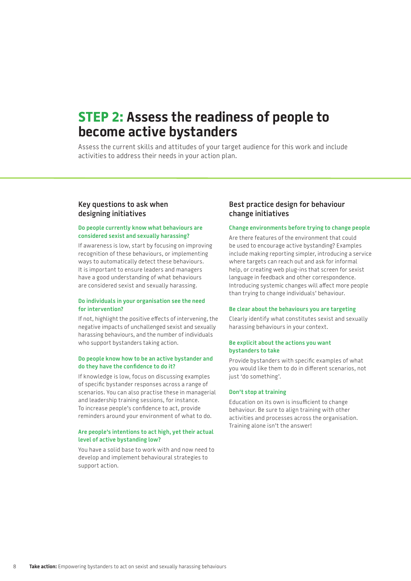## **STEP 2: Assess the readiness of people to become active bystanders**

Assess the current skills and attitudes of your target audience for this work and include activities to address their needs in your action plan.

## **Key questions to ask when designing initiatives**

## **Do people currently know what behaviours are considered sexist and sexually harassing?**

If awareness is low, start by focusing on improving recognition of these behaviours, or implementing ways to automatically detect these behaviours. It is important to ensure leaders and managers have a good understanding of what behaviours are considered sexist and sexually harassing.

### **Do individuals in your organisation see the need for intervention?**

If not, highlight the positive effects of intervening, the negative impacts of unchallenged sexist and sexually harassing behaviours, and the number of individuals who support bystanders taking action.

## **Do people know how to be an active bystander and do they have the confidence to do it?**

If knowledge is low, focus on discussing examples of specific bystander responses across a range of scenarios. You can also practise these in managerial and leadership training sessions, for instance. To increase people's confidence to act, provide reminders around your environment of what to do.

### **Are people's intentions to act high, yet their actual level of active bystanding low?**

You have a solid base to work with and now need to develop and implement behavioural strategies to support action.

## **Best practice design for behaviour change initiatives**

#### **Change environments before trying to change people**

Are there features of the environment that could be used to encourage active bystanding? Examples include making reporting simpler, introducing a service where targets can reach out and ask for informal help, or creating web plug-ins that screen for sexist language in feedback and other correspondence. Introducing systemic changes will affect more people than trying to change individuals' behaviour.

#### **Be clear about the behaviours you are targeting**

Clearly identify what constitutes sexist and sexually harassing behaviours in your context.

### **Be explicit about the actions you want bystanders to take**

Provide bystanders with specific examples of what you would like them to do in different scenarios, not just 'do something'.

#### **Don't stop at training**

Education on its own is insufficient to change behaviour. Be sure to align training with other activities and processes across the organisation. Training alone isn't the answer!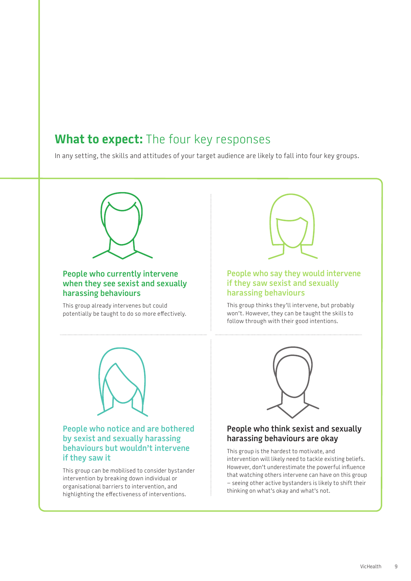## **What to expect:** The four key responses

In any setting, the skills and attitudes of your target audience are likely to fall into four key groups.



## **People who currently intervene when they see sexist and sexually harassing behaviours**

This group already intervenes but could potentially be taught to do so more effectively.



## **People who say they would intervene if they saw sexist and sexually harassing behaviours**

This group thinks they'll intervene, but probably won't. However, they can be taught the skills to follow through with their good intentions.



## **People who notice and are bothered by sexist and sexually harassing behaviours but wouldn't intervene if they saw it**

This group can be mobilised to consider bystander intervention by breaking down individual or organisational barriers to intervention, and highlighting the effectiveness of interventions.



## **People who think sexist and sexually harassing behaviours are okay**

This group is the hardest to motivate, and intervention will likely need to tackle existing beliefs. However, don't underestimate the powerful influence that watching others intervene can have on this group – seeing other active bystanders is likely to shift their thinking on what's okay and what's not.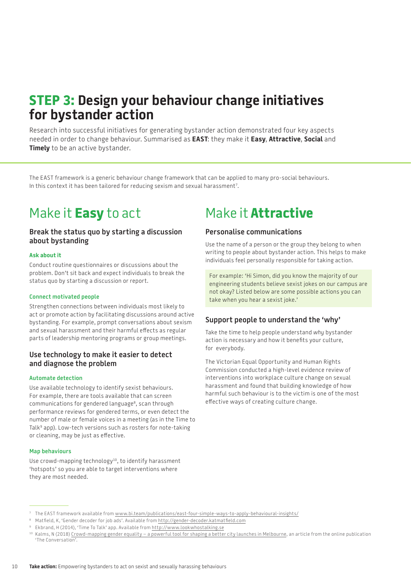## **STEP 3: Design your behaviour change initiatives for bystander action**

Research into successful initiatives for generating bystander action demonstrated four key aspects needed in order to change behaviour. Summarised as **EAST**: they make it **Easy**, **Attractive**, **Social** and **Timely** to be an active bystander.

The EAST framework is a generic behaviour change framework that can be applied to many pro-social behaviours. In this context it has been tailored for reducing sexism and sexual harassment $^{\tau}\!$ .

## Make it **Easy** to act

## **Break the status quo by starting a discussion about bystanding**

## **Ask about it**

Conduct routine questionnaires or discussions about the problem. Don't sit back and expect individuals to break the status quo by starting a discussion or report.

### **Connect motivated people**

Strengthen connections between individuals most likely to act or promote action by facilitating discussions around active bystanding. For example, prompt conversations about sexism and sexual harassment and their harmful effects as regular parts of leadership mentoring programs or group meetings.

## **Use technology to make it easier to detect and diagnose the problem**

### **Automate detection**

Use available technology to identify sexist behaviours. For example, there are tools available that can screen communications for gendered language<sup>8</sup>, scan through performance reviews for gendered terms, or even detect the number of male or female voices in a meeting (as in the Time to Talk<sup>9</sup> app). Low-tech versions such as rosters for note-taking or cleaning, may be just as effective.

#### **Map behaviours**

Use crowd-mapping technology<sup>10</sup>, to identify harassment 'hotspots' so you are able to target interventions where they are most needed.

## Make it **Attractive**

## **Personalise communications**

Use the name of a person or the group they belong to when writing to people about bystander action. This helps to make individuals feel personally responsible for taking action.

For example: 'Hi Simon, did you know the majority of our engineering students believe sexist jokes on our campus are not okay? Listed below are some possible actions you can take when you hear a sexist joke.'

## **Support people to understand the 'why'**

Take the time to help people understand *why* bystander action is necessary and how it benefits your culture, for everybody.

The Victorian Equal Opportunity and Human Rights Commission conducted a high-level evidence review of interventions into workplace culture change on sexual harassment and found that building knowledge of how harmful such behaviour is to the victim is one of the most effective ways of creating culture change.

<sup>7</sup> The EAST framework available from [www.bi.team/publications/east-four-simple-ways-to-apply-behavioural-insights/](https://www.bi.team/publications/east-four-simple-ways-to-apply-behavioural-insights/)

<sup>8</sup> Matfield, K, 'Gender decoder for job ads'. Available from [http://gender-decoder.katmatfield.com](http://gender-decoder.katmatfield.com/)

<sup>&</sup>lt;sup>9</sup> Ekbrand, H (2014), 'Time To Talk' app. Available from [http://www.lookwhostalking.se](http://www.lookwhostalking.se/)

<sup>10</sup> Kalms, N (2018) [Crowd-mapping gender equality – a powerful tool for shaping a better city launches in Melbourne](https://theconversation.com/crowd-mapping-gender-equality-a-powerful-tool-for-shaping-a-better-city-launches-in-melbourne-105648), an article from the online publication 'The Conversation'.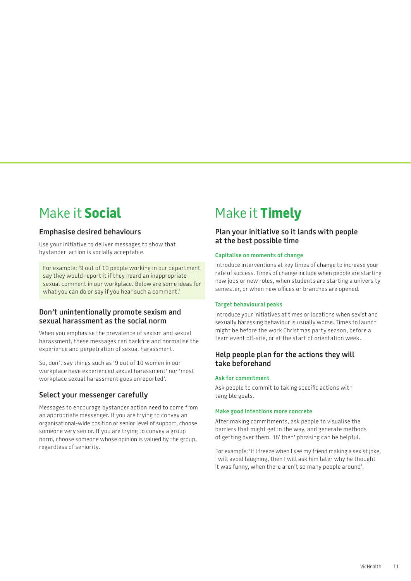## Make it **Social**

## **Emphasise desired behaviours**

Use your initiative to deliver messages to show that bystander action is socially acceptable.

For example: '9 out of 10 people working in our department say they would report it if they heard an inappropriate sexual comment in our workplace. Below are some ideas for what you can do or say if you hear such a comment.'

## **Don't unintentionally promote sexism and sexual harassment as the social norm**

When you emphasise the prevalence of sexism and sexual harassment, these messages can backfire and normalise the experience and perpetration of sexual harassment.

So, don't say things such as '9 out of 10 women in our workplace have experienced sexual harassment' nor 'most workplace sexual harassment goes unreported'.

## **Select your messenger carefully**

Messages to encourage bystander action need to come from an appropriate messenger. If you are trying to convey an organisational-wide position or senior level of support, choose someone very senior. If you are trying to convey a group norm, choose someone whose opinion is valued by the group, regardless of seniority.

## Make it **Timely**

## **Plan your initiative so it lands with people at the best possible time**

## **Capitalise on moments of change**

Introduce interventions at key times of change to increase your rate of success. Times of change include when people are starting new jobs or new roles, when students are starting a university semester, or when new offices or branches are opened.

## **Target behavioural peaks**

Introduce your initiatives at times or locations when sexist and sexually harassing behaviour is usually worse. Times to launch might be before the work Christmas party season, before a team event off-site, or at the start of orientation week.

## **Help people plan for the actions they will take beforehand**

## **Ask for commitment**

Ask people to commit to taking specific actions with tangible goals.

## **Make good intentions more concrete**

After making commitments, ask people to visualise the barriers that might get in the way, and generate methods of getting over them. 'If/ then' phrasing can be helpful.

For example: 'If I freeze when I see my friend making a sexist joke, I will avoid laughing, then I will ask him later why he thought it was funny, when there aren't so many people around'.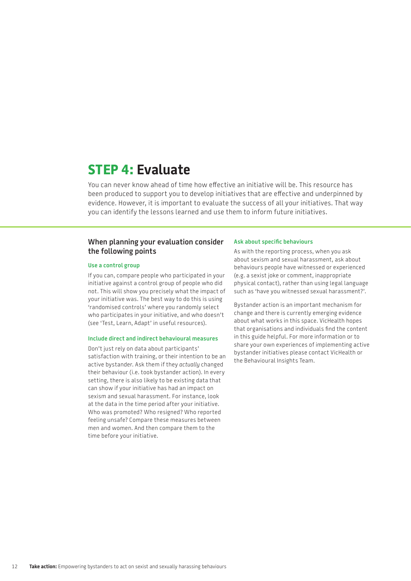## **STEP 4: Evaluate**

You can never know ahead of time how effective an initiative will be. This resource has been produced to support you to develop initiatives that are effective and underpinned by evidence. However, it is important to evaluate the success of all your initiatives. That way you can identify the lessons learned and use them to inform future initiatives.

## **When planning your evaluation consider the following points**

### **Use a control group**

If you can, compare people who participated in your initiative against a control group of people who did not. This will show you precisely what the impact of your initiative was. The best way to do this is using 'randomised controls' where you randomly select who participates in your initiative, and who doesn't (see 'Test, Learn, Adapt' in useful resources).

### **Include direct and indirect behavioural measures**

Don't just rely on data about participants' satisfaction with training, or their intention to be an active bystander. Ask them if they *actually* changed their behaviour (i.e. took bystander action). In every setting, there is also likely to be existing data that can show if your initiative has had an impact on sexism and sexual harassment. For instance, look at the data in the time period after your initiative. Who was promoted? Who resigned? Who reported feeling unsafe? Compare these measures between men and women. And then compare them to the time before your initiative.

#### **Ask about specific behaviours**

As with the reporting process, when you ask about sexism and sexual harassment, ask about behaviours people have witnessed or experienced (e.g. a sexist joke or comment, inappropriate physical contact), rather than using legal language such as 'have you witnessed sexual harassment?'.

Bystander action is an important mechanism for change and there is currently emerging evidence about what works in this space. VicHealth hopes that organisations and individuals find the content in this guide helpful. For more information or to share your own experiences of implementing active bystander initiatives please contact VicHealth or the Behavioural Insights Team.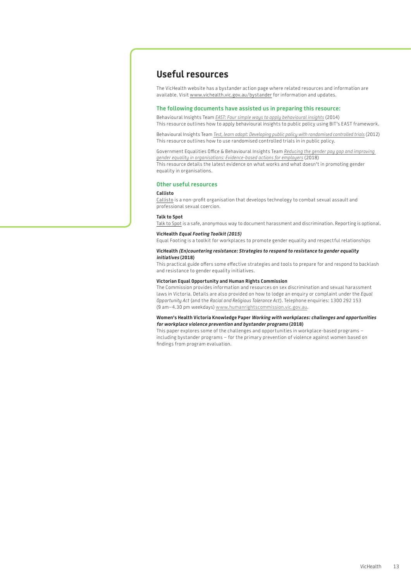## **Useful resources**

The VicHealth website has a bystander action page where related resources and information are available. Visit [www.vichealth.vic.gov.au](http://www.vichealth.vic.gov.au)/bystander for information and updates.

#### **The following documents have assisted us in preparing this resource:**

Behavioural Insights Team *[EAST: Four simple ways to apply behavioural insights](https://www.bi.team/publications/east-four-simple-ways-to-apply-behavioural-insights/)* (2014) This resource outlines how to apply behavioural insights to public policy using BIT's EAST framework.

Behavioural Insights Team *[Test, learn adapt: Developing public policy with randomised controlled trials](https://www.bi.team/publications/test-learn-adapt-developing-public-policy-with-randomised-controlled-trials/)* (2012) This resource outlines how to use randomised controlled trials in in public policy.

Government Equalities Office & Behavioural Insights Team *[Reducing the gender pay gap and improving](https://www.bi.team/publications/reducing-the-gender-pay-gap-and-improving-gender-equality-in-organisations/)  [gender equality in organisations: Evidence-based actions for employers](https://www.bi.team/publications/reducing-the-gender-pay-gap-and-improving-gender-equality-in-organisations/)* (2018) This resource details the latest evidence on what works and what doesn't in promoting gender equality in organisations.

#### **Other useful resources**

#### **Callisto**

[Callisto](http://www.projectcallisto.org) is a non-profit organisation that develops technology to combat sexual assault and professional sexual coercion.

#### **Talk to Spot**

[Talk to Spot](https://talktospot.com/) is a safe, anonymous way to document harassment and discrimination. Reporting is optional.

#### **VicHealth Equal Footing Toolkit (2015)**

Equal Footing is a toolkit for workplaces to promote gender equality and respectful relationships

#### **VicHealth (En)countering resistance: Strategies to respond to resistance to gender equality initiatives (2018)**

This practical guide offers some effective strategies and tools to prepare for and respond to backlash and resistance to gender equality initiatives.

#### **Victorian Equal Opportunity and Human Rights Commission**

The Commission provides information and resources on sex discrimination and sexual harassment laws in Victoria. Details are also provided on how to lodge an enquiry or complaint under the *Equal Opportunity Act* (and the *Racial and Religious Tolerance Act*). Telephone enquiries: 1300 292 153 (9 am–4.30 pm weekdays) [www.humanrightscommission.vic.gov.au](https://www.humanrightscommission.vic.gov.au).

#### **Women's Health Victoria Knowledge Paper Working with workplaces: challenges and opportunities for workplace violence prevention and bystander programs (2018)**

This paper explores some of the challenges and opportunities in workplace-based programs – including bystander programs – for the primary prevention of violence against women based on findings from program evaluation.